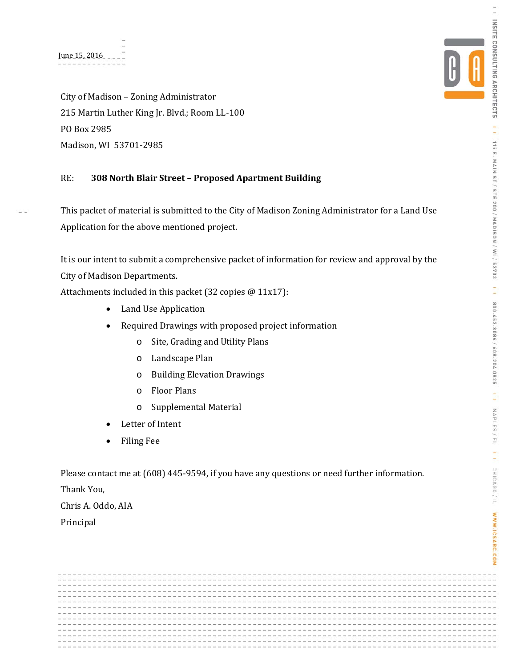City of Madison - Zoning Administrator 215 Martin Luther King Jr. Blvd.; Room LL-100 PO Box 2985 Madison, WI 53701-2985

# RE: **308 North Blair Street – Proposed Apartment Building**

This packet of material is submitted to the City of Madison Zoning Administrator for a Land Use Application for the above mentioned project.

It is our intent to submit a comprehensive packet of information for review and approval by the City of Madison Departments.

Attachments included in this packet (32 copies  $@11x17$ ):

- Land Use Application
- Required Drawings with proposed project information
	- o Site, Grading and Utility Plans
	- o Landscape Plan
	- o Building Elevation Drawings
	- o Floor Plans
	- o Supplemental Material
- Letter of Intent
- Filing Fee

Please contact me at  $(608)$  445-9594, if you have any questions or need further information.

Thank You, 

Chris A. Oddo, AIA Principal 





 $\frac{1}{1}$ 

INSITE CONSULTING ARCHITECTS | 1 115 E. MAIN ST / STE 200 / MADISON / WI / 53703

1 1 800.453.8086 / 608.204.0825

Ţ

NAPLES / FL

Ę

CHICAGO/IL

WWW.ICSARC.COM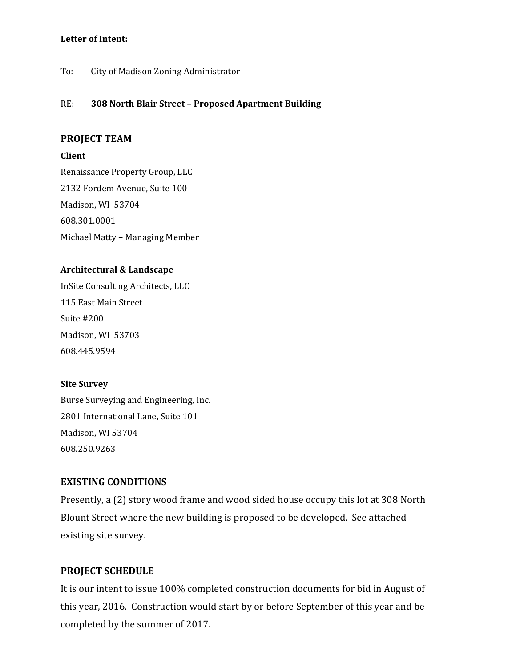#### **Letter of Intent:**

To: City of Madison Zoning Administrator

#### RE: **308 North Blair Street – Proposed Apartment Building**

#### **PROJECT TEAM**

#### **Client**

Renaissance Property Group, LLC 2132 Fordem Avenue, Suite 100 Madison, WI 53704 608.301.0001 Michael Matty - Managing Member

#### **Architectural & Landscape**

InSite Consulting Architects, LLC 115 East Main Street Suite #200 Madison, WI 53703 608.445.9594 

#### **Site Survey**

Burse Surveying and Engineering, Inc. 2801 International Lane, Suite 101 Madison, WI 53704 608.250.9263 

# **EXISTING CONDITIONS**

Presently, a (2) story wood frame and wood sided house occupy this lot at 308 North Blount Street where the new building is proposed to be developed. See attached existing site survey.

#### **PROJECT SCHEDULE**

It is our intent to issue 100% completed construction documents for bid in August of this year, 2016. Construction would start by or before September of this year and be completed by the summer of 2017.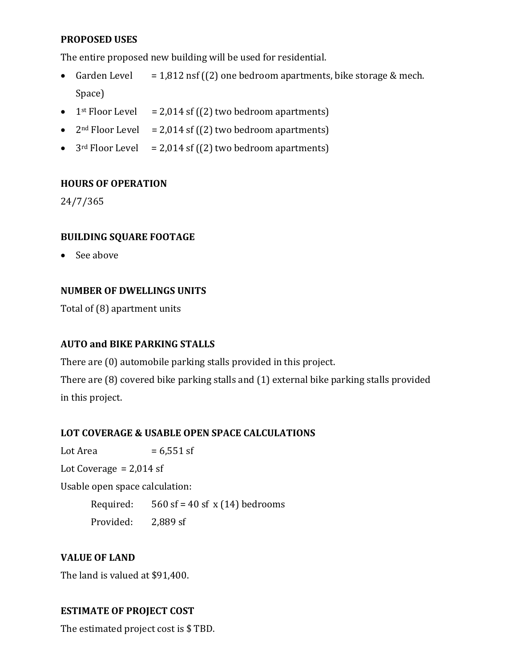# **PROPOSED USES**

The entire proposed new building will be used for residential.

- Garden Level  $= 1,812 \text{ nsf } ((2)$  one bedroom apartments, bike storage & mech. Space)
- 1<sup>st</sup> Floor Level  $= 2,014$  sf ((2) two bedroom apartments)
- $2<sup>nd</sup> Floor Level = 2,014 sf (2) two bedroom apartments)$
- $3<sup>rd</sup>$  Floor Level = 2,014 sf ((2) two bedroom apartments)

# **HOURS OF OPERATION**

24/7/365 

# **BUILDING SQUARE FOOTAGE**

• See above

# **NUMBER OF DWELLINGS UNITS**

Total of  $(8)$  apartment units

# **AUTO and BIKE PARKING STALLS**

There are (0) automobile parking stalls provided in this project.

There are  $(8)$  covered bike parking stalls and  $(1)$  external bike parking stalls provided in this project.

# **LOT COVERAGE & USABLE OPEN SPACE CALCULATIONS**

Lot Area  $= 6,551$  sf

Lot Coverage  $= 2.014$  sf

Usable open space calculation:

Required:  $560$  sf = 40 sf x (14) bedrooms Provided: 2,889 sf

# **VALUE OF LAND**

The land is valued at \$91,400.

# **ESTIMATE OF PROJECT COST**

The estimated project cost is \$TBD.